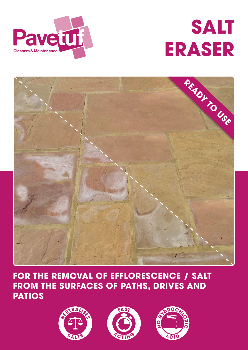





# **FOR THE REMOVAL OF EFFLORESCENCE / SALT FROM THE SURFACES OF PATHS, DRIVES AND PATIOS**